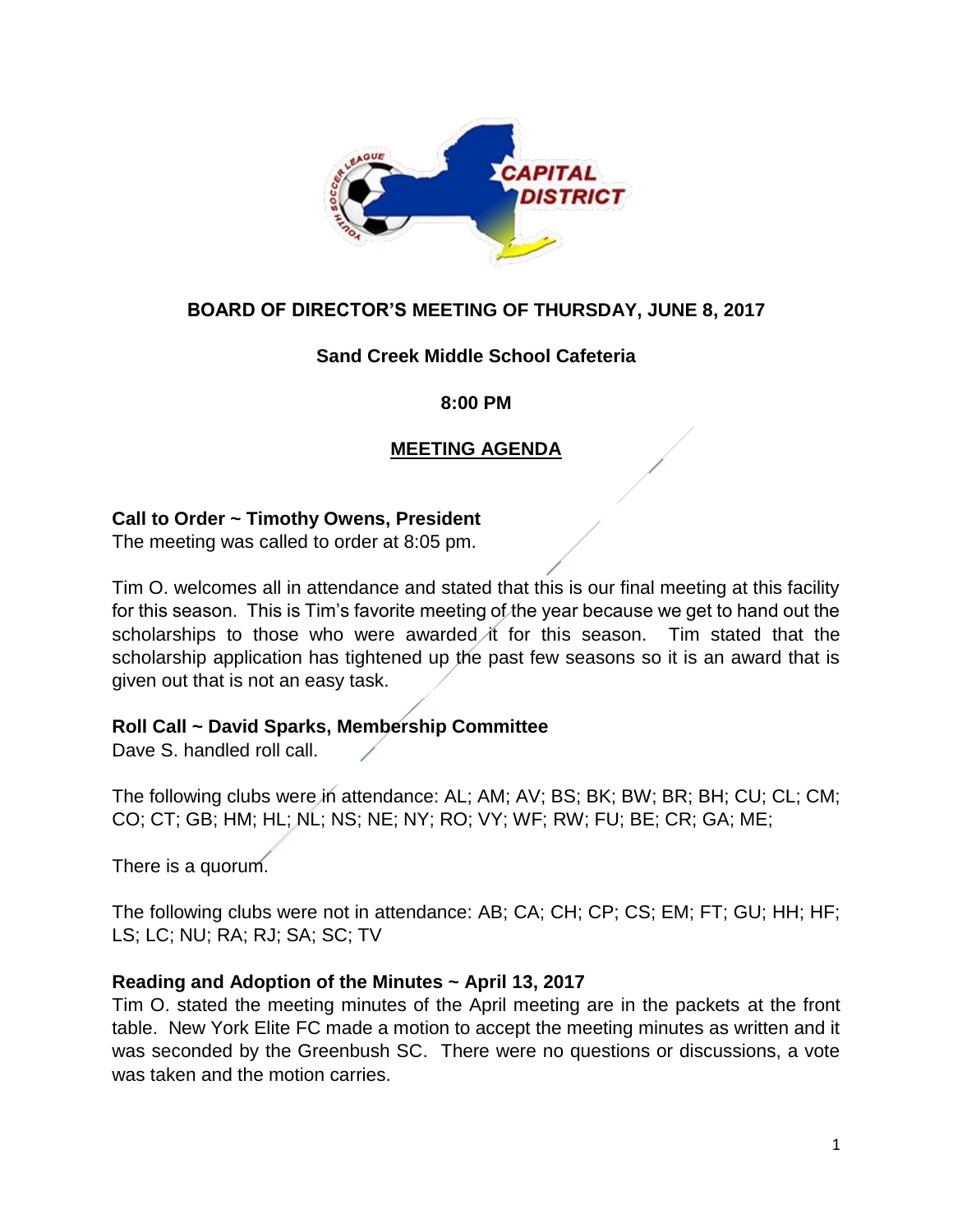

# **BOARD OF DIRECTOR'S MEETING OF THURSDAY, JUNE 8, 2017**

## **Sand Creek Middle School Cafeteria**

#### **8:00 PM**

# **MEETING AGENDA**

#### **Call to Order ~ Timothy Owens, President**

The meeting was called to order at 8:05 pm.

Tim O. welcomes all in attendance and stated that this is our final meeting at this facility for this season. This is Tim's favorite meeting of the year because we get to hand out the scholarships to those who were awarded it for this season. Tim stated that the scholarship application has tightened up the past few seasons so it is an award that is given out that is not an easy task.

#### **Roll Call ~ David Sparks, Membership Committee**

Dave S. handled roll call.

The following clubs were in attendance: AL; AM; AV; BS; BK; BW; BR; BH; CU; CL; CM; CO; CT; GB; HM; HL; NL; NS; NE; NY; RO; VY; WF; RW; FU; BE; CR; GA; ME;

There is a quorum.

The following clubs were not in attendance: AB; CA; CH; CP; CS; EM; FT; GU; HH; HF; LS; LC; NU; RA; RJ; SA; SC; TV

#### **Reading and Adoption of the Minutes ~ April 13, 2017**

Tim O. stated the meeting minutes of the April meeting are in the packets at the front table. New York Elite FC made a motion to accept the meeting minutes as written and it was seconded by the Greenbush SC. There were no questions or discussions, a vote was taken and the motion carries.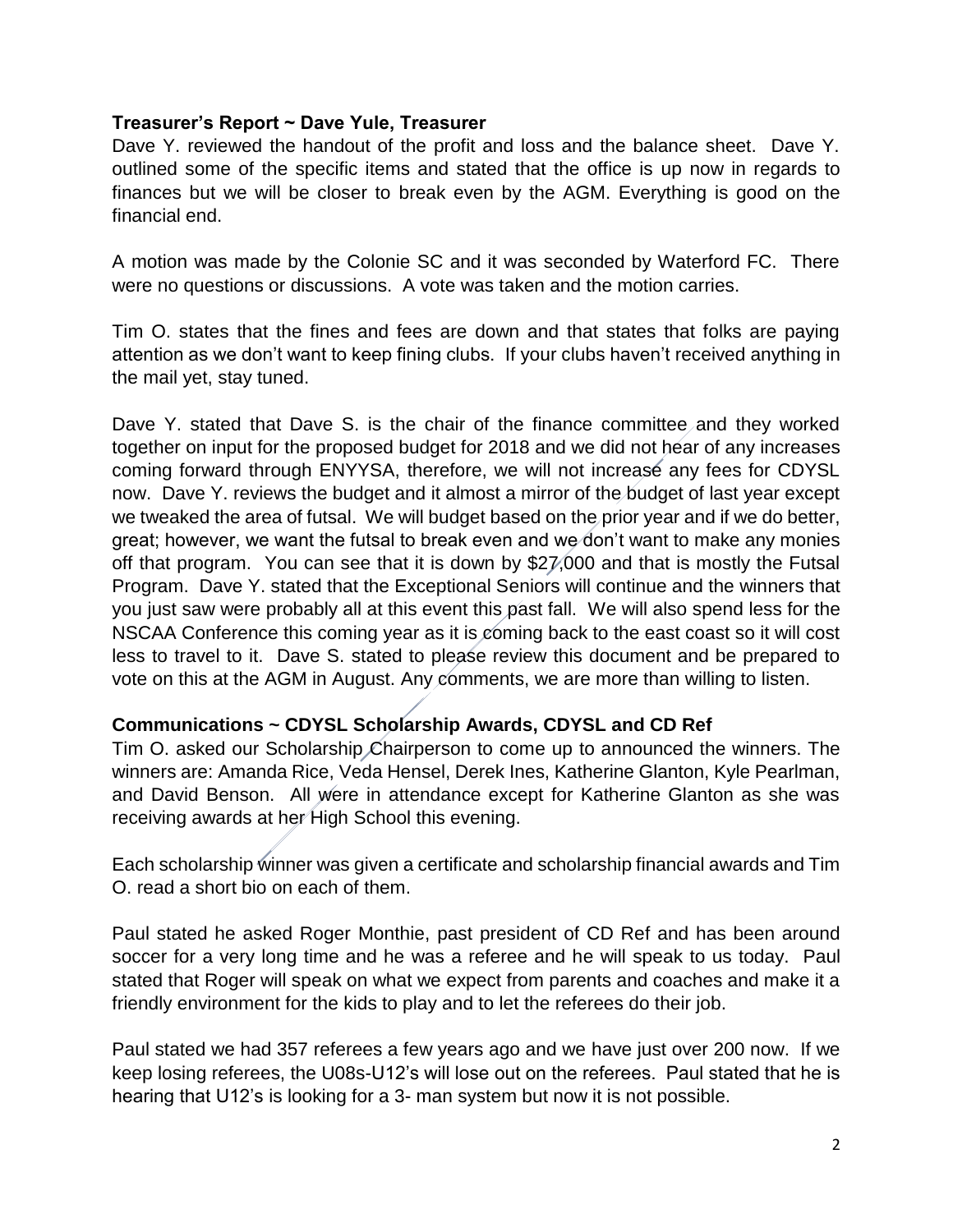## **Treasurer's Report ~ Dave Yule, Treasurer**

Dave Y. reviewed the handout of the profit and loss and the balance sheet. Dave Y. outlined some of the specific items and stated that the office is up now in regards to finances but we will be closer to break even by the AGM. Everything is good on the financial end.

A motion was made by the Colonie SC and it was seconded by Waterford FC. There were no questions or discussions. A vote was taken and the motion carries.

Tim O. states that the fines and fees are down and that states that folks are paying attention as we don't want to keep fining clubs. If your clubs haven't received anything in the mail yet, stay tuned.

Dave Y. stated that Dave S. is the chair of the finance committee and they worked together on input for the proposed budget for 2018 and we did not hear of any increases coming forward through ENYYSA, therefore, we will not increase any fees for CDYSL now. Dave Y. reviews the budget and it almost a mirror of the budget of last year except we tweaked the area of futsal. We will budget based on the prior year and if we do better, great; however, we want the futsal to break even and we don't want to make any monies off that program. You can see that it is down by \$27,000 and that is mostly the Futsal Program. Dave Y. stated that the Exceptional Seniors will continue and the winners that you just saw were probably all at this event this past fall. We will also spend less for the NSCAA Conference this coming year as it is coming back to the east coast so it will cost less to travel to it. Dave S. stated to please review this document and be prepared to vote on this at the AGM in August. Any comments, we are more than willing to listen.

# **Communications ~ CDYSL Scholarship Awards, CDYSL and CD Ref**

Tim O. asked our Scholarship Chairperson to come up to announced the winners. The winners are: Amanda Rice, Veda Hensel, Derek Ines, Katherine Glanton, Kyle Pearlman, and David Benson. All were in attendance except for Katherine Glanton as she was receiving awards at her High School this evening.

Each scholarship winner was given a certificate and scholarship financial awards and Tim O. read a short bio on each of them.

Paul stated he asked Roger Monthie, past president of CD Ref and has been around soccer for a very long time and he was a referee and he will speak to us today. Paul stated that Roger will speak on what we expect from parents and coaches and make it a friendly environment for the kids to play and to let the referees do their job.

Paul stated we had 357 referees a few years ago and we have just over 200 now. If we keep losing referees, the U08s-U12's will lose out on the referees. Paul stated that he is hearing that U12's is looking for a 3- man system but now it is not possible.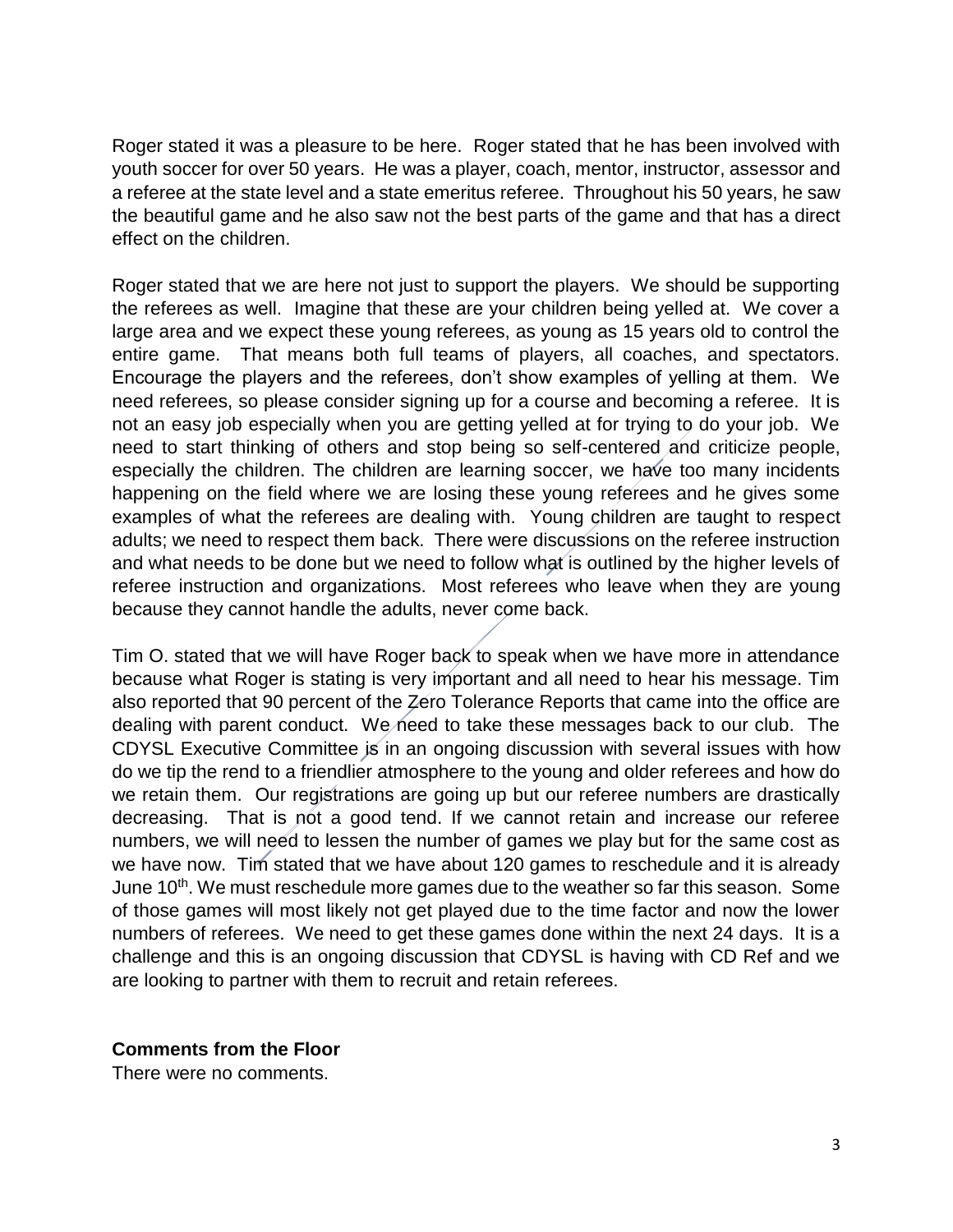Roger stated it was a pleasure to be here. Roger stated that he has been involved with youth soccer for over 50 years. He was a player, coach, mentor, instructor, assessor and a referee at the state level and a state emeritus referee. Throughout his 50 years, he saw the beautiful game and he also saw not the best parts of the game and that has a direct effect on the children.

Roger stated that we are here not just to support the players. We should be supporting the referees as well. Imagine that these are your children being yelled at. We cover a large area and we expect these young referees, as young as 15 years old to control the entire game. That means both full teams of players, all coaches, and spectators. Encourage the players and the referees, don't show examples of yelling at them. We need referees, so please consider signing up for a course and becoming a referee. It is not an easy job especially when you are getting yelled at for trying to do your job. We need to start thinking of others and stop being so self-centered and criticize people, especially the children. The children are learning soccer, we have too many incidents happening on the field where we are losing these young referees and he gives some examples of what the referees are dealing with. Young children are taught to respect adults; we need to respect them back. There were discussions on the referee instruction and what needs to be done but we need to follow what is outlined by the higher levels of referee instruction and organizations. Most referees who leave when they are young because they cannot handle the adults, never come back.

Tim O. stated that we will have Roger back to speak when we have more in attendance because what Roger is stating is very important and all need to hear his message. Tim also reported that 90 percent of the Zero Tolerance Reports that came into the office are dealing with parent conduct. We need to take these messages back to our club. The CDYSL Executive Committee is in an ongoing discussion with several issues with how do we tip the rend to a friendlier atmosphere to the young and older referees and how do we retain them. Our registrations are going up but our referee numbers are drastically decreasing. That is not a good tend. If we cannot retain and increase our referee numbers, we will need to lessen the number of games we play but for the same cost as we have now. Tim stated that we have about 120 games to reschedule and it is already June 10<sup>th</sup>. We must reschedule more games due to the weather so far this season. Some of those games will most likely not get played due to the time factor and now the lower numbers of referees. We need to get these games done within the next 24 days. It is a challenge and this is an ongoing discussion that CDYSL is having with CD Ref and we are looking to partner with them to recruit and retain referees.

#### **Comments from the Floor**

There were no comments.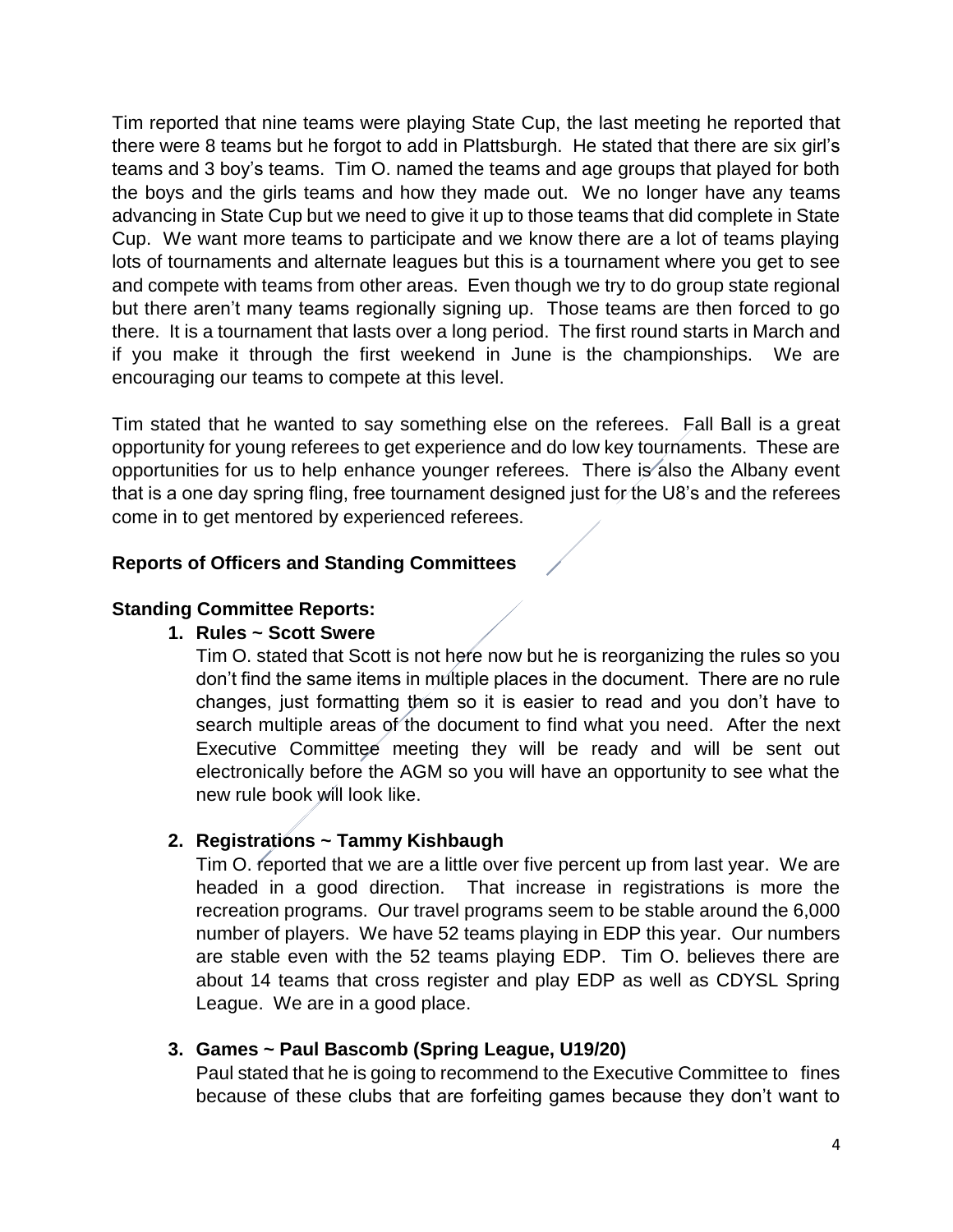Tim reported that nine teams were playing State Cup, the last meeting he reported that there were 8 teams but he forgot to add in Plattsburgh. He stated that there are six girl's teams and 3 boy's teams. Tim O. named the teams and age groups that played for both the boys and the girls teams and how they made out. We no longer have any teams advancing in State Cup but we need to give it up to those teams that did complete in State Cup. We want more teams to participate and we know there are a lot of teams playing lots of tournaments and alternate leagues but this is a tournament where you get to see and compete with teams from other areas. Even though we try to do group state regional but there aren't many teams regionally signing up. Those teams are then forced to go there. It is a tournament that lasts over a long period. The first round starts in March and if you make it through the first weekend in June is the championships. We are encouraging our teams to compete at this level.

Tim stated that he wanted to say something else on the referees. Fall Ball is a great opportunity for young referees to get experience and do low key tournaments. These are opportunities for us to help enhance younger referees. There is also the Albany event that is a one day spring fling, free tournament designed just for the U8's and the referees come in to get mentored by experienced referees.

# **Reports of Officers and Standing Committees**

## **Standing Committee Reports:**

## **1. Rules ~ Scott Swere**

Tim O. stated that Scott is not here now but he is reorganizing the rules so you don't find the same items in multiple places in the document. There are no rule changes, just formatting them so it is easier to read and you don't have to search multiple areas of the document to find what you need. After the next Executive Committee meeting they will be ready and will be sent out electronically before the AGM so you will have an opportunity to see what the new rule book will look like.

# **2. Registrations ~ Tammy Kishbaugh**

Tim O. reported that we are a little over five percent up from last year. We are headed in a good direction. That increase in registrations is more the recreation programs. Our travel programs seem to be stable around the 6,000 number of players. We have 52 teams playing in EDP this year. Our numbers are stable even with the 52 teams playing EDP. Tim O. believes there are about 14 teams that cross register and play EDP as well as CDYSL Spring League. We are in a good place.

# **3. Games ~ Paul Bascomb (Spring League, U19/20)**

Paul stated that he is going to recommend to the Executive Committee to fines because of these clubs that are forfeiting games because they don't want to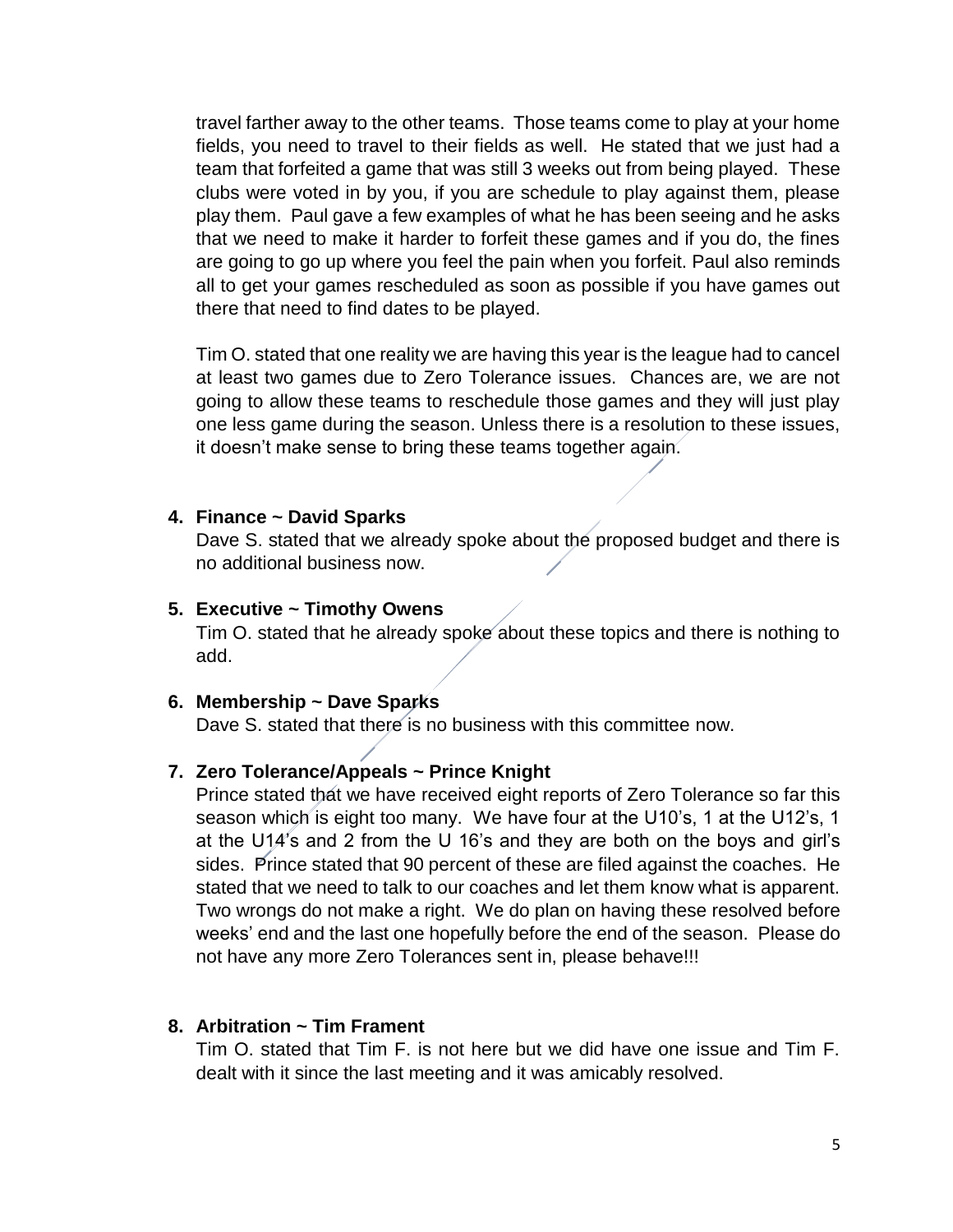travel farther away to the other teams. Those teams come to play at your home fields, you need to travel to their fields as well. He stated that we just had a team that forfeited a game that was still 3 weeks out from being played. These clubs were voted in by you, if you are schedule to play against them, please play them. Paul gave a few examples of what he has been seeing and he asks that we need to make it harder to forfeit these games and if you do, the fines are going to go up where you feel the pain when you forfeit. Paul also reminds all to get your games rescheduled as soon as possible if you have games out there that need to find dates to be played.

Tim O. stated that one reality we are having this year is the league had to cancel at least two games due to Zero Tolerance issues. Chances are, we are not going to allow these teams to reschedule those games and they will just play one less game during the season. Unless there is a resolution to these issues, it doesn't make sense to bring these teams together again.

#### **4. Finance ~ David Sparks**

Dave S. stated that we already spoke about the proposed budget and there is no additional business now.

#### **5. Executive ~ Timothy Owens**

Tim O. stated that he already spoke about these topics and there is nothing to add.

#### **6. Membership ~ Dave Sparks**

Dave S. stated that there is no business with this committee now.

## **7. Zero Tolerance/Appeals ~ Prince Knight**

Prince stated that we have received eight reports of Zero Tolerance so far this season which is eight too many. We have four at the U10's, 1 at the U12's, 1 at the U14's and 2 from the U 16's and they are both on the boys and girl's sides. Prince stated that 90 percent of these are filed against the coaches. He stated that we need to talk to our coaches and let them know what is apparent. Two wrongs do not make a right. We do plan on having these resolved before weeks' end and the last one hopefully before the end of the season. Please do not have any more Zero Tolerances sent in, please behave!!!

#### **8. Arbitration ~ Tim Frament**

Tim O. stated that Tim F. is not here but we did have one issue and Tim F. dealt with it since the last meeting and it was amicably resolved.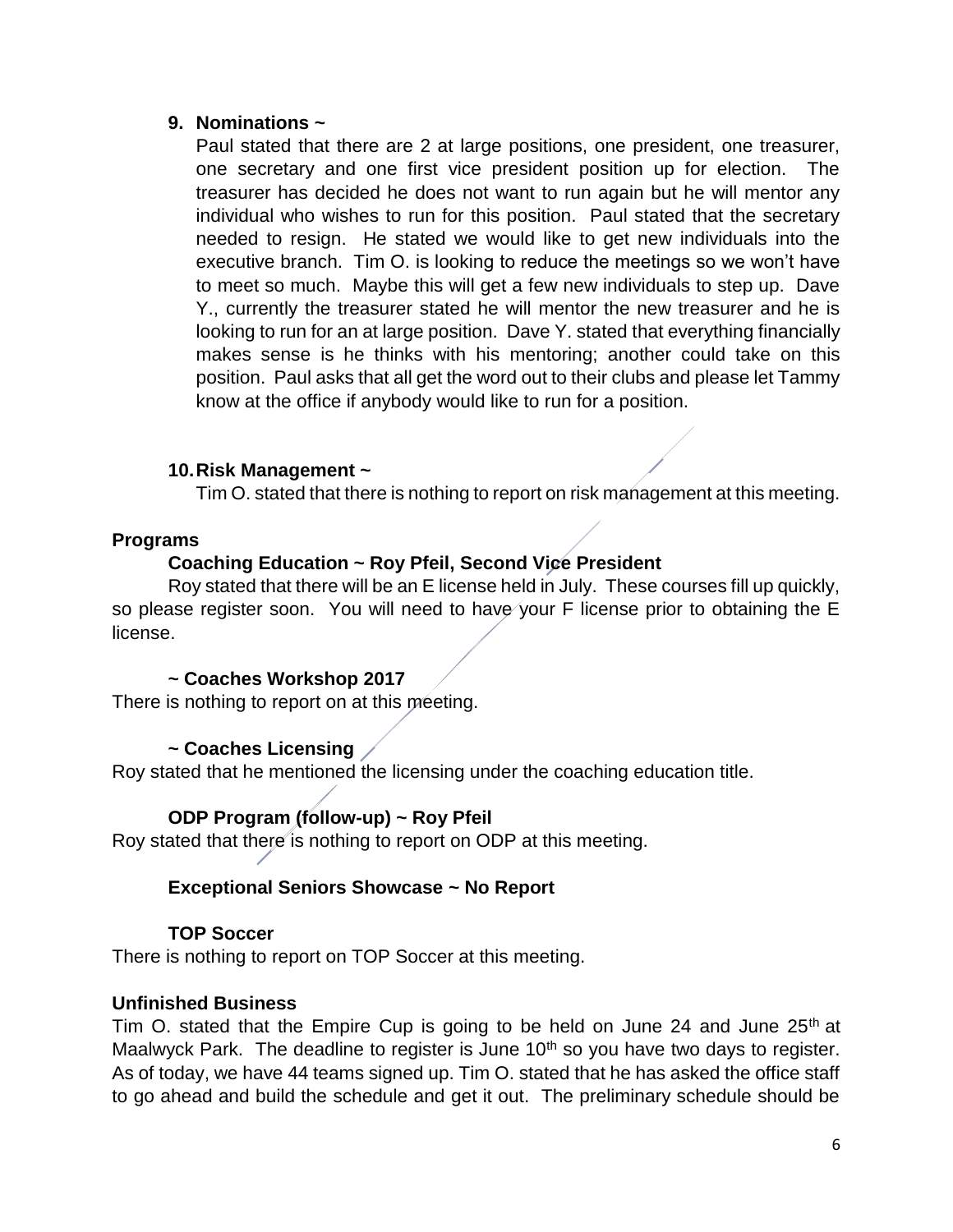## **9. Nominations ~**

Paul stated that there are 2 at large positions, one president, one treasurer, one secretary and one first vice president position up for election. The treasurer has decided he does not want to run again but he will mentor any individual who wishes to run for this position. Paul stated that the secretary needed to resign. He stated we would like to get new individuals into the executive branch. Tim O. is looking to reduce the meetings so we won't have to meet so much. Maybe this will get a few new individuals to step up. Dave Y., currently the treasurer stated he will mentor the new treasurer and he is looking to run for an at large position. Dave Y. stated that everything financially makes sense is he thinks with his mentoring; another could take on this position. Paul asks that all get the word out to their clubs and please let Tammy know at the office if anybody would like to run for a position.

## **10.Risk Management ~**

Tim O. stated that there is nothing to report on risk management at this meeting.

#### **Programs**

## **Coaching Education ~ Roy Pfeil, Second Vice President**

Roy stated that there will be an E license held in July. These courses fill up quickly, so please register soon. You will need to have your F license prior to obtaining the E license.

#### **~ Coaches Workshop 2017**

There is nothing to report on at this meeting.

# **~ Coaches Licensing**

Roy stated that he mentioned the licensing under the coaching education title.

#### **ODP Program (follow-up) ~ Roy Pfeil**

Roy stated that there is nothing to report on ODP at this meeting.

#### **Exceptional Seniors Showcase ~ No Report**

#### **TOP Soccer**

There is nothing to report on TOP Soccer at this meeting.

#### **Unfinished Business**

Tim O. stated that the Empire Cup is going to be held on June 24 and June  $25<sup>th</sup>$  at Maalwyck Park. The deadline to register is June  $10<sup>th</sup>$  so you have two days to register. As of today, we have 44 teams signed up. Tim O. stated that he has asked the office staff to go ahead and build the schedule and get it out. The preliminary schedule should be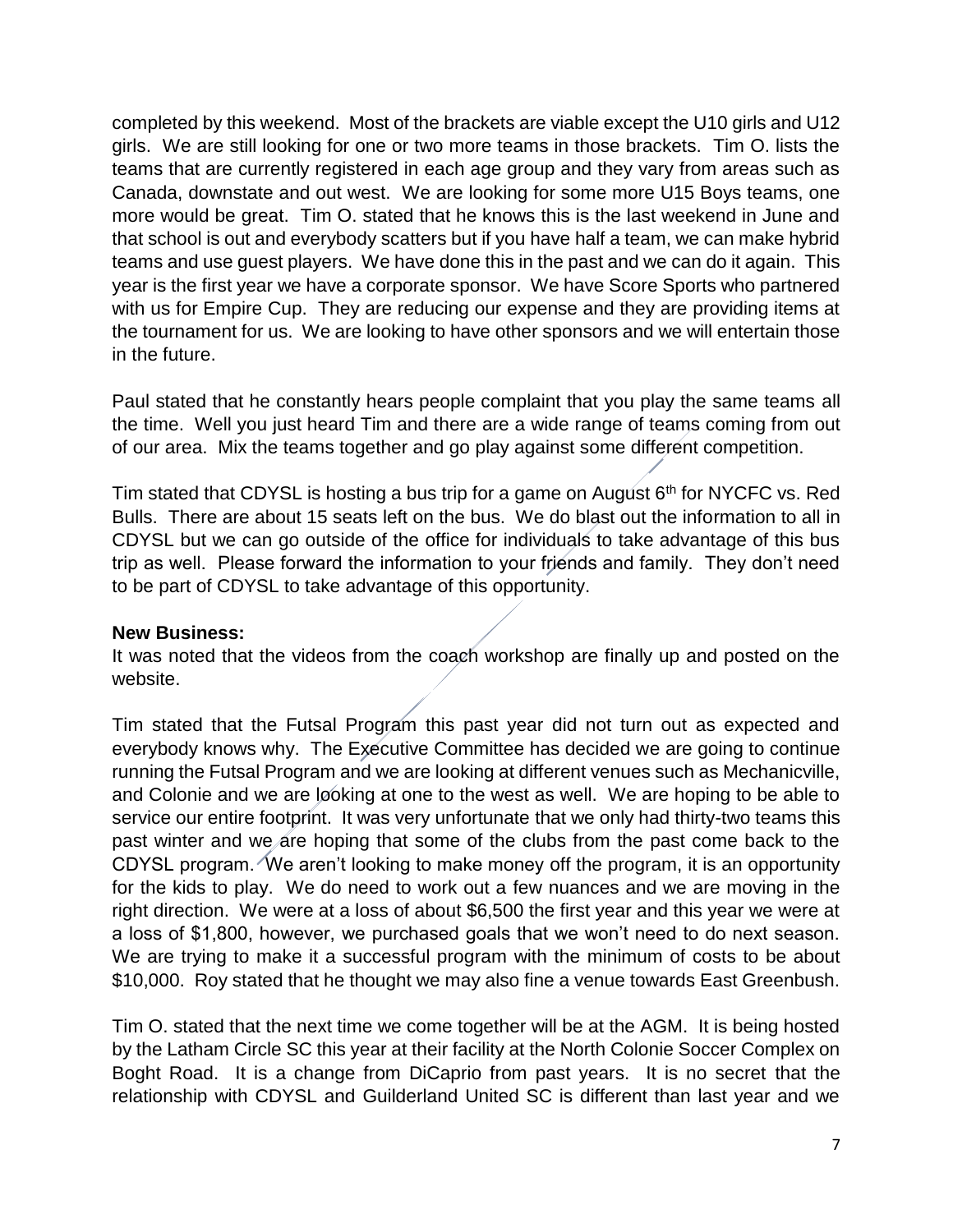completed by this weekend. Most of the brackets are viable except the U10 girls and U12 girls. We are still looking for one or two more teams in those brackets. Tim O. lists the teams that are currently registered in each age group and they vary from areas such as Canada, downstate and out west. We are looking for some more U15 Boys teams, one more would be great. Tim O. stated that he knows this is the last weekend in June and that school is out and everybody scatters but if you have half a team, we can make hybrid teams and use guest players. We have done this in the past and we can do it again. This year is the first year we have a corporate sponsor. We have Score Sports who partnered with us for Empire Cup. They are reducing our expense and they are providing items at the tournament for us. We are looking to have other sponsors and we will entertain those in the future.

Paul stated that he constantly hears people complaint that you play the same teams all the time. Well you just heard Tim and there are a wide range of teams coming from out of our area. Mix the teams together and go play against some different competition.

Tim stated that CDYSL is hosting a bus trip for a game on August  $6<sup>th</sup>$  for NYCFC vs. Red Bulls. There are about 15 seats left on the bus. We do blast out the information to all in CDYSL but we can go outside of the office for individuals to take advantage of this bus trip as well. Please forward the information to your friends and family. They don't need to be part of CDYSL to take advantage of this opportunity.

#### **New Business:**

It was noted that the videos from the coach workshop are finally up and posted on the website.

Tim stated that the Futsal Program this past year did not turn out as expected and everybody knows why. The Executive Committee has decided we are going to continue running the Futsal Program and we are looking at different venues such as Mechanicville, and Colonie and we are looking at one to the west as well. We are hoping to be able to service our entire footprint. It was very unfortunate that we only had thirty-two teams this past winter and we are hoping that some of the clubs from the past come back to the CDYSL program. We aren't looking to make money off the program, it is an opportunity for the kids to play. We do need to work out a few nuances and we are moving in the right direction. We were at a loss of about \$6,500 the first year and this year we were at a loss of \$1,800, however, we purchased goals that we won't need to do next season. We are trying to make it a successful program with the minimum of costs to be about \$10,000. Roy stated that he thought we may also fine a venue towards East Greenbush.

Tim O. stated that the next time we come together will be at the AGM. It is being hosted by the Latham Circle SC this year at their facility at the North Colonie Soccer Complex on Boght Road. It is a change from DiCaprio from past years. It is no secret that the relationship with CDYSL and Guilderland United SC is different than last year and we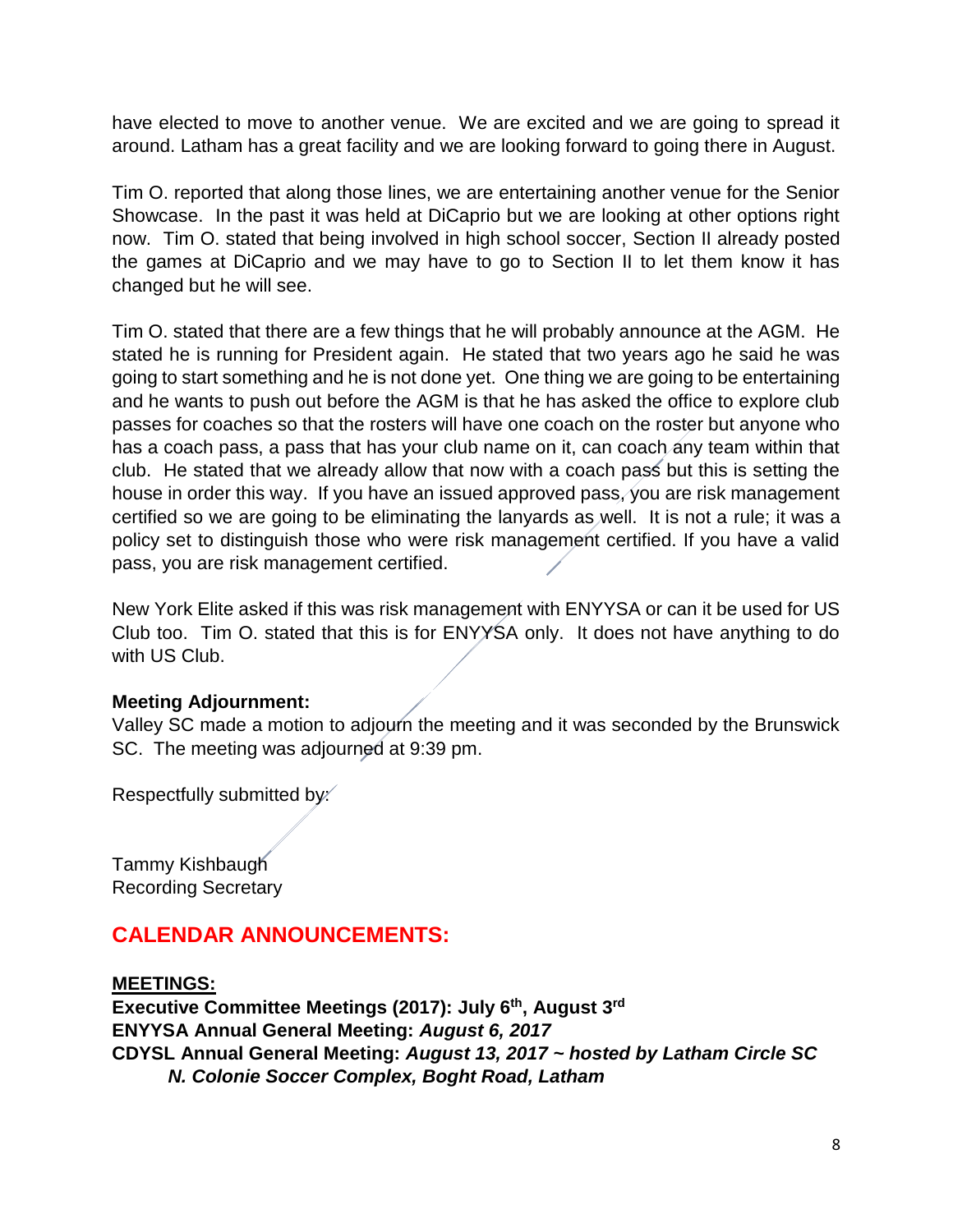have elected to move to another venue. We are excited and we are going to spread it around. Latham has a great facility and we are looking forward to going there in August.

Tim O. reported that along those lines, we are entertaining another venue for the Senior Showcase. In the past it was held at DiCaprio but we are looking at other options right now. Tim O. stated that being involved in high school soccer, Section II already posted the games at DiCaprio and we may have to go to Section II to let them know it has changed but he will see.

Tim O. stated that there are a few things that he will probably announce at the AGM. He stated he is running for President again. He stated that two years ago he said he was going to start something and he is not done yet. One thing we are going to be entertaining and he wants to push out before the AGM is that he has asked the office to explore club passes for coaches so that the rosters will have one coach on the roster but anyone who has a coach pass, a pass that has your club name on it, can coach any team within that club. He stated that we already allow that now with a coach pass but this is setting the house in order this way. If you have an issued approved pass, you are risk management certified so we are going to be eliminating the lanyards as well. It is not a rule; it was a policy set to distinguish those who were risk management certified. If you have a valid pass, you are risk management certified.

New York Elite asked if this was risk management with ENYYSA or can it be used for US Club too. Tim O. stated that this is for ENYYSA only. It does not have anything to do with US Club.

# **Meeting Adjournment:**

Valley SC made a motion to adjourn the meeting and it was seconded by the Brunswick SC. The meeting was adjourned at 9:39 pm.

Respectfully submitted by:

Tammy Kishbaugh Recording Secretary

# **CALENDAR ANNOUNCEMENTS:**

**MEETINGS: Executive Committee Meetings (2017): July 6th, August 3rd ENYYSA Annual General Meeting:** *August 6, 2017* **CDYSL Annual General Meeting:** *August 13, 2017 ~ hosted by Latham Circle SC N. Colonie Soccer Complex, Boght Road, Latham*